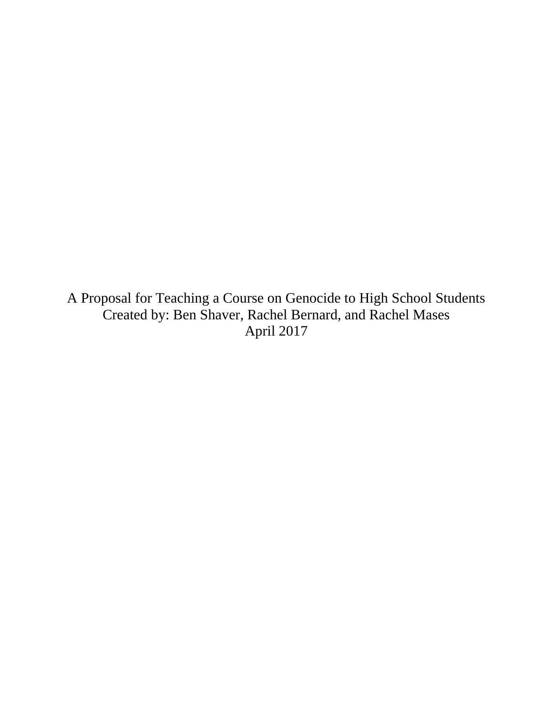A Proposal for Teaching a Course on Genocide to High School Students Created by: Ben Shaver, Rachel Bernard, and Rachel Mases April 2017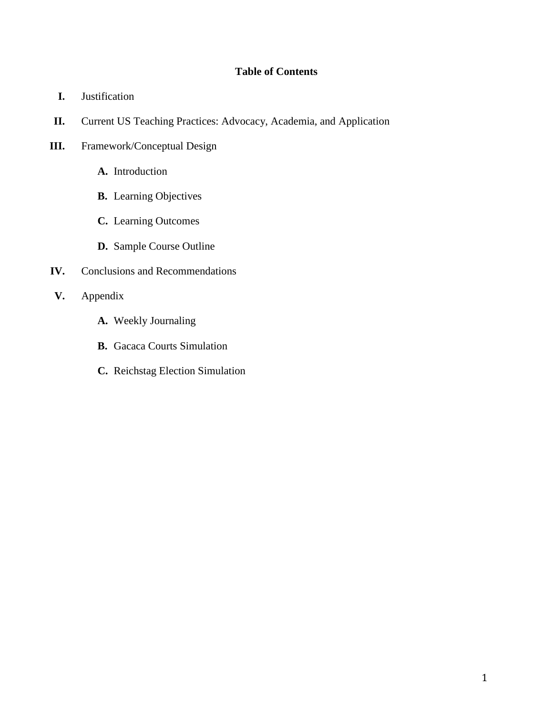## **Table of Contents**

- **I.** Justification
- **II.** Current US Teaching Practices: Advocacy, Academia, and Application
- **III.** Framework/Conceptual Design
	- **A.** Introduction
	- **B.** Learning Objectives
	- **C.** Learning Outcomes
	- **D.** Sample Course Outline
- **IV.** Conclusions and Recommendations
- **V.** Appendix
	- **A.** Weekly Journaling
	- **B.** Gacaca Courts Simulation
	- **C.** Reichstag Election Simulation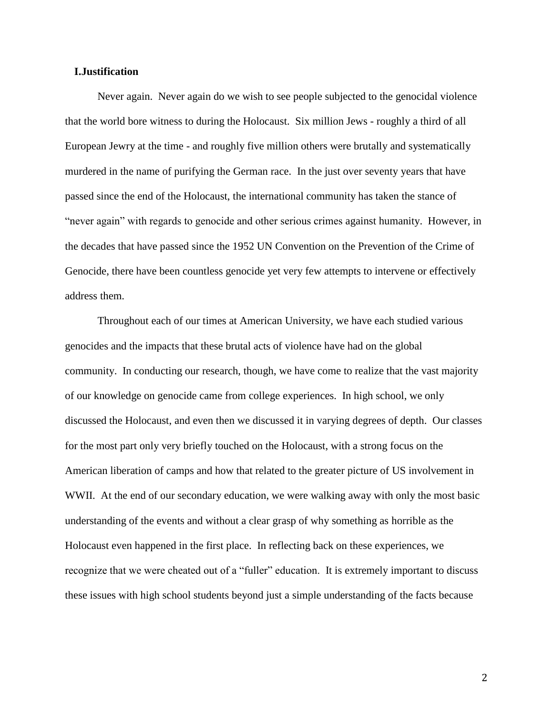#### **I.Justification**

Never again. Never again do we wish to see people subjected to the genocidal violence that the world bore witness to during the Holocaust. Six million Jews - roughly a third of all European Jewry at the time - and roughly five million others were brutally and systematically murdered in the name of purifying the German race. In the just over seventy years that have passed since the end of the Holocaust, the international community has taken the stance of "never again" with regards to genocide and other serious crimes against humanity. However, in the decades that have passed since the 1952 UN Convention on the Prevention of the Crime of Genocide, there have been countless genocide yet very few attempts to intervene or effectively address them.

Throughout each of our times at American University, we have each studied various genocides and the impacts that these brutal acts of violence have had on the global community. In conducting our research, though, we have come to realize that the vast majority of our knowledge on genocide came from college experiences. In high school, we only discussed the Holocaust, and even then we discussed it in varying degrees of depth. Our classes for the most part only very briefly touched on the Holocaust, with a strong focus on the American liberation of camps and how that related to the greater picture of US involvement in WWII. At the end of our secondary education, we were walking away with only the most basic understanding of the events and without a clear grasp of why something as horrible as the Holocaust even happened in the first place. In reflecting back on these experiences, we recognize that we were cheated out of a "fuller" education. It is extremely important to discuss these issues with high school students beyond just a simple understanding of the facts because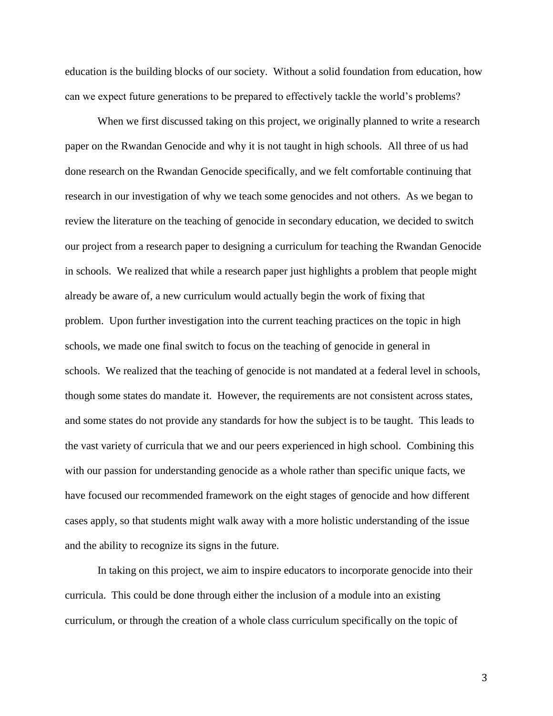education is the building blocks of our society. Without a solid foundation from education, how can we expect future generations to be prepared to effectively tackle the world's problems?

When we first discussed taking on this project, we originally planned to write a research paper on the Rwandan Genocide and why it is not taught in high schools. All three of us had done research on the Rwandan Genocide specifically, and we felt comfortable continuing that research in our investigation of why we teach some genocides and not others. As we began to review the literature on the teaching of genocide in secondary education, we decided to switch our project from a research paper to designing a curriculum for teaching the Rwandan Genocide in schools. We realized that while a research paper just highlights a problem that people might already be aware of, a new curriculum would actually begin the work of fixing that problem. Upon further investigation into the current teaching practices on the topic in high schools, we made one final switch to focus on the teaching of genocide in general in schools. We realized that the teaching of genocide is not mandated at a federal level in schools, though some states do mandate it. However, the requirements are not consistent across states, and some states do not provide any standards for how the subject is to be taught. This leads to the vast variety of curricula that we and our peers experienced in high school. Combining this with our passion for understanding genocide as a whole rather than specific unique facts, we have focused our recommended framework on the eight stages of genocide and how different cases apply, so that students might walk away with a more holistic understanding of the issue and the ability to recognize its signs in the future.

In taking on this project, we aim to inspire educators to incorporate genocide into their curricula. This could be done through either the inclusion of a module into an existing curriculum, or through the creation of a whole class curriculum specifically on the topic of

3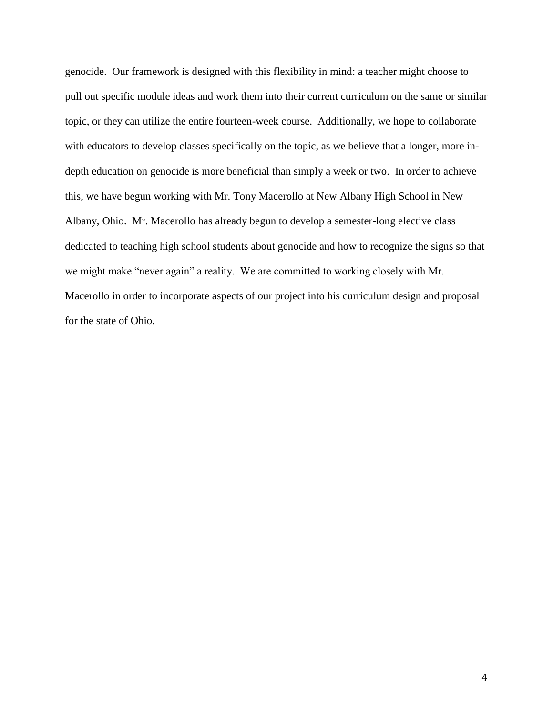genocide. Our framework is designed with this flexibility in mind: a teacher might choose to pull out specific module ideas and work them into their current curriculum on the same or similar topic, or they can utilize the entire fourteen-week course. Additionally, we hope to collaborate with educators to develop classes specifically on the topic, as we believe that a longer, more indepth education on genocide is more beneficial than simply a week or two. In order to achieve this, we have begun working with Mr. Tony Macerollo at New Albany High School in New Albany, Ohio. Mr. Macerollo has already begun to develop a semester-long elective class dedicated to teaching high school students about genocide and how to recognize the signs so that we might make "never again" a reality. We are committed to working closely with Mr. Macerollo in order to incorporate aspects of our project into his curriculum design and proposal for the state of Ohio.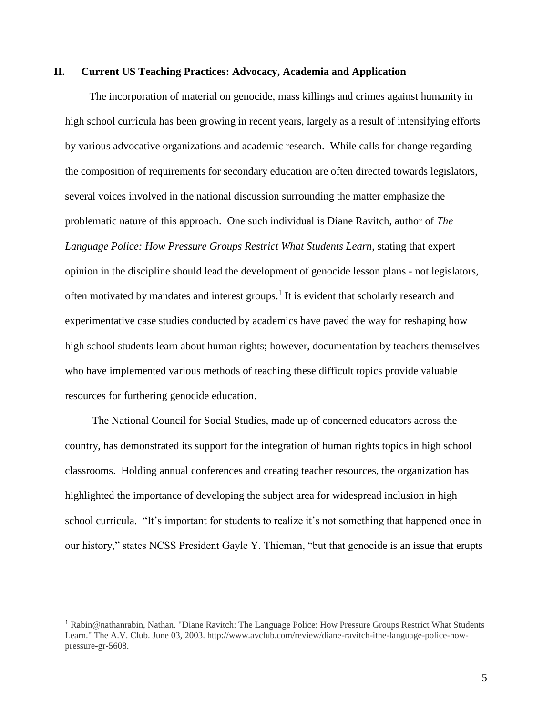#### **II. Current US Teaching Practices: Advocacy, Academia and Application**

The incorporation of material on genocide, mass killings and crimes against humanity in high school curricula has been growing in recent years, largely as a result of intensifying efforts by various advocative organizations and academic research. While calls for change regarding the composition of requirements for secondary education are often directed towards legislators, several voices involved in the national discussion surrounding the matter emphasize the problematic nature of this approach. One such individual is Diane Ravitch, author of *The Language Police: How Pressure Groups Restrict What Students Learn*, stating that expert opinion in the discipline should lead the development of genocide lesson plans - not legislators, often motivated by mandates and interest groups.<sup>1</sup> It is evident that scholarly research and experimentative case studies conducted by academics have paved the way for reshaping how high school students learn about human rights; however, documentation by teachers themselves who have implemented various methods of teaching these difficult topics provide valuable resources for furthering genocide education.

 The National Council for Social Studies, made up of concerned educators across the country, has demonstrated its support for the integration of human rights topics in high school classrooms. Holding annual conferences and creating teacher resources, the organization has highlighted the importance of developing the subject area for widespread inclusion in high school curricula. "It's important for students to realize it's not something that happened once in our history," states NCSS President Gayle Y. Thieman, "but that genocide is an issue that erupts

<sup>1</sup> Rabin@nathanrabin, Nathan. "Diane Ravitch: The Language Police: How Pressure Groups Restrict What Students Learn." The A.V. Club. June 03, 2003. http://www.avclub.com/review/diane-ravitch-ithe-language-police-howpressure-gr-5608.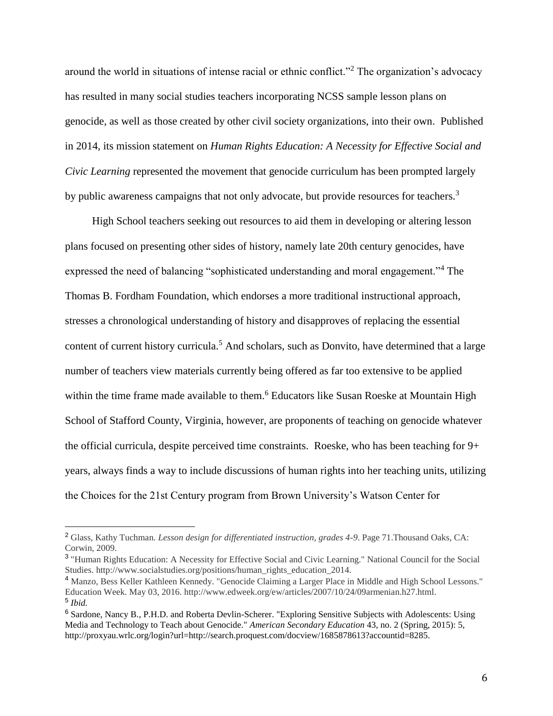around the world in situations of intense racial or ethnic conflict."<sup>2</sup> The organization's advocacy has resulted in many social studies teachers incorporating NCSS sample lesson plans on genocide, as well as those created by other civil society organizations, into their own. Published in 2014, its mission statement on *Human Rights Education: A Necessity for Effective Social and Civic Learning* represented the movement that genocide curriculum has been prompted largely by public awareness campaigns that not only advocate, but provide resources for teachers.<sup>3</sup>

 High School teachers seeking out resources to aid them in developing or altering lesson plans focused on presenting other sides of history, namely late 20th century genocides, have expressed the need of balancing "sophisticated understanding and moral engagement."<sup>4</sup> The Thomas B. Fordham Foundation, which endorses a more traditional instructional approach, stresses a chronological understanding of history and disapproves of replacing the essential content of current history curricula.<sup>5</sup> And scholars, such as Donvito, have determined that a large number of teachers view materials currently being offered as far too extensive to be applied within the time frame made available to them.<sup>6</sup> Educators like Susan Roeske at Mountain High School of Stafford County, Virginia, however, are proponents of teaching on genocide whatever the official curricula, despite perceived time constraints. Roeske, who has been teaching for 9+ years, always finds a way to include discussions of human rights into her teaching units, utilizing the Choices for the 21st Century program from Brown University's Watson Center for

<sup>2</sup> Glass, Kathy Tuchman. *Lesson design for differentiated instruction, grades 4-9*. Page 71.Thousand Oaks, CA: Corwin, 2009.

<sup>&</sup>lt;sup>3</sup> "Human Rights Education: A Necessity for Effective Social and Civic Learning." National Council for the Social Studies. http://www.socialstudies.org/positions/human\_rights\_education\_2014.

<sup>4</sup> Manzo, Bess Keller Kathleen Kennedy. "Genocide Claiming a Larger Place in Middle and High School Lessons." Education Week. May 03, 2016. http://www.edweek.org/ew/articles/2007/10/24/09armenian.h27.html. 5 *Ibid.*

<sup>6</sup> Sardone, Nancy B., P.H.D. and Roberta Devlin-Scherer. "Exploring Sensitive Subjects with Adolescents: Using Media and Technology to Teach about Genocide." *American Secondary Education* 43, no. 2 (Spring, 2015): 5, http://proxyau.wrlc.org/login?url=http://search.proquest.com/docview/1685878613?accountid=8285.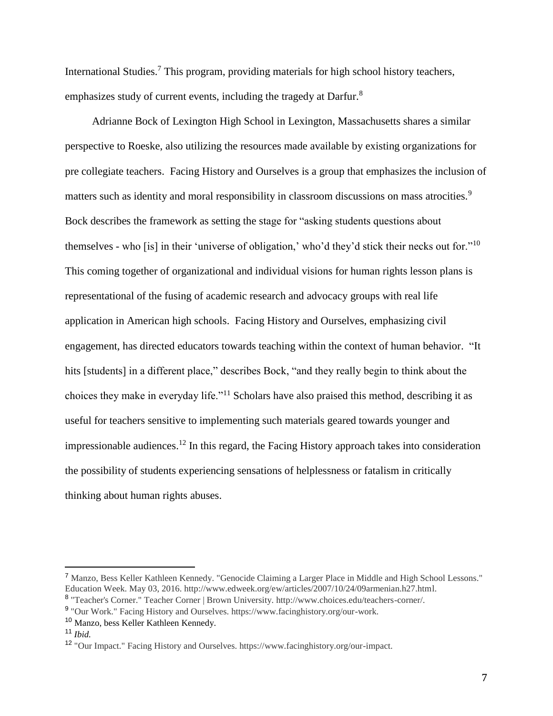International Studies.<sup>7</sup> This program, providing materials for high school history teachers, emphasizes study of current events, including the tragedy at Darfur.<sup>8</sup>

 Adrianne Bock of Lexington High School in Lexington, Massachusetts shares a similar perspective to Roeske, also utilizing the resources made available by existing organizations for pre collegiate teachers. Facing History and Ourselves is a group that emphasizes the inclusion of matters such as identity and moral responsibility in classroom discussions on mass atrocities.<sup>9</sup> Bock describes the framework as setting the stage for "asking students questions about themselves - who [is] in their 'universe of obligation,' who'd they'd stick their necks out for."<sup>10</sup> This coming together of organizational and individual visions for human rights lesson plans is representational of the fusing of academic research and advocacy groups with real life application in American high schools. Facing History and Ourselves, emphasizing civil engagement, has directed educators towards teaching within the context of human behavior. "It hits [students] in a different place," describes Bock, "and they really begin to think about the choices they make in everyday life."<sup>11</sup> Scholars have also praised this method, describing it as useful for teachers sensitive to implementing such materials geared towards younger and impressionable audiences.<sup>12</sup> In this regard, the Facing History approach takes into consideration the possibility of students experiencing sensations of helplessness or fatalism in critically thinking about human rights abuses.

<sup>7</sup> Manzo, Bess Keller Kathleen Kennedy. "Genocide Claiming a Larger Place in Middle and High School Lessons." Education Week. May 03, 2016. http://www.edweek.org/ew/articles/2007/10/24/09armenian.h27.html.

<sup>&</sup>lt;sup>8</sup> "Teacher's Corner." Teacher Corner | Brown University. http://www.choices.edu/teachers-corner/.

<sup>&</sup>lt;sup>9</sup> "Our Work." Facing History and Ourselves. https://www.facinghistory.org/our-work.

<sup>10</sup> Manzo, bess Keller Kathleen Kennedy.

<sup>11</sup> *Ibid.*

<sup>12</sup> "Our Impact." Facing History and Ourselves. https://www.facinghistory.org/our-impact.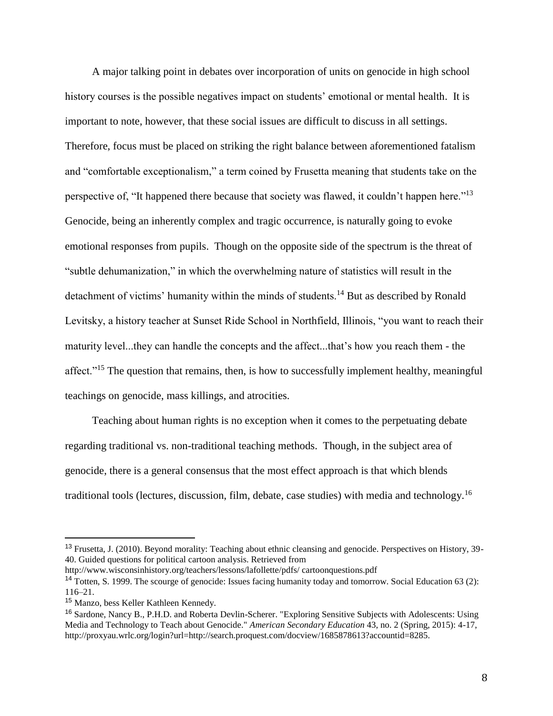A major talking point in debates over incorporation of units on genocide in high school history courses is the possible negatives impact on students' emotional or mental health. It is important to note, however, that these social issues are difficult to discuss in all settings. Therefore, focus must be placed on striking the right balance between aforementioned fatalism and "comfortable exceptionalism," a term coined by Frusetta meaning that students take on the perspective of, "It happened there because that society was flawed, it couldn't happen here."<sup>13</sup> Genocide, being an inherently complex and tragic occurrence, is naturally going to evoke emotional responses from pupils. Though on the opposite side of the spectrum is the threat of "subtle dehumanization," in which the overwhelming nature of statistics will result in the detachment of victims' humanity within the minds of students.<sup>14</sup> But as described by Ronald Levitsky, a history teacher at Sunset Ride School in Northfield, Illinois, "you want to reach their maturity level...they can handle the concepts and the affect...that's how you reach them - the affect."<sup>15</sup> The question that remains, then, is how to successfully implement healthy, meaningful teachings on genocide, mass killings, and atrocities.

 Teaching about human rights is no exception when it comes to the perpetuating debate regarding traditional vs. non-traditional teaching methods. Though, in the subject area of genocide, there is a general consensus that the most effect approach is that which blends traditional tools (lectures, discussion, film, debate, case studies) with media and technology.<sup>16</sup>

http://www.wisconsinhistory.org/teachers/lessons/lafollette/pdfs/ cartoonquestions.pdf

<sup>&</sup>lt;sup>13</sup> Frusetta, J. (2010). Beyond morality: Teaching about ethnic cleansing and genocide. Perspectives on History, 39-40. Guided questions for political cartoon analysis. Retrieved from

<sup>&</sup>lt;sup>14</sup> Totten, S. 1999. The scourge of genocide: Issues facing humanity today and tomorrow. Social Education 63 (2): 116–21.

<sup>15</sup> Manzo, bess Keller Kathleen Kennedy.

<sup>&</sup>lt;sup>16</sup> Sardone, Nancy B., P.H.D. and Roberta Devlin-Scherer. "Exploring Sensitive Subjects with Adolescents: Using Media and Technology to Teach about Genocide." *American Secondary Education* 43, no. 2 (Spring, 2015): 4-17, http://proxyau.wrlc.org/login?url=http://search.proquest.com/docview/1685878613?accountid=8285.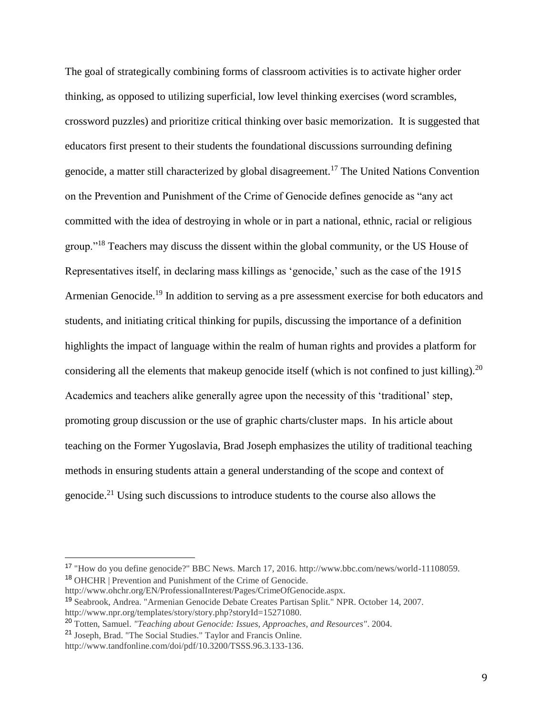The goal of strategically combining forms of classroom activities is to activate higher order thinking, as opposed to utilizing superficial, low level thinking exercises (word scrambles, crossword puzzles) and prioritize critical thinking over basic memorization. It is suggested that educators first present to their students the foundational discussions surrounding defining genocide, a matter still characterized by global disagreement.<sup>17</sup> The United Nations Convention on the Prevention and Punishment of the Crime of Genocide defines genocide as "any act committed with the idea of destroying in whole or in part a national, ethnic, racial or religious group."<sup>18</sup> Teachers may discuss the dissent within the global community, or the US House of Representatives itself, in declaring mass killings as 'genocide,' such as the case of the 1915 Armenian Genocide.<sup>19</sup> In addition to serving as a pre assessment exercise for both educators and students, and initiating critical thinking for pupils, discussing the importance of a definition highlights the impact of language within the realm of human rights and provides a platform for considering all the elements that makeup genocide itself (which is not confined to just killing).<sup>20</sup> Academics and teachers alike generally agree upon the necessity of this 'traditional' step, promoting group discussion or the use of graphic charts/cluster maps. In his article about teaching on the Former Yugoslavia, Brad Joseph emphasizes the utility of traditional teaching methods in ensuring students attain a general understanding of the scope and context of genocide.<sup>21</sup> Using such discussions to introduce students to the course also allows the

<sup>17</sup> "How do you define genocide?" BBC News. March 17, 2016. http://www.bbc.com/news/world-11108059. <sup>18</sup> OHCHR | Prevention and Punishment of the Crime of Genocide.

http://www.ohchr.org/EN/ProfessionalInterest/Pages/CrimeOfGenocide.aspx.

<sup>19</sup> Seabrook, Andrea. "Armenian Genocide Debate Creates Partisan Split." NPR. October 14, 2007. http://www.npr.org/templates/story/story.php?storyId=15271080.

<sup>20</sup> Totten, Samuel. *"Teaching about Genocide: Issues, Approaches, and Resources"*. 2004.

<sup>21</sup> Joseph, Brad. "The Social Studies." Taylor and Francis Online.

http://www.tandfonline.com/doi/pdf/10.3200/TSSS.96.3.133-136.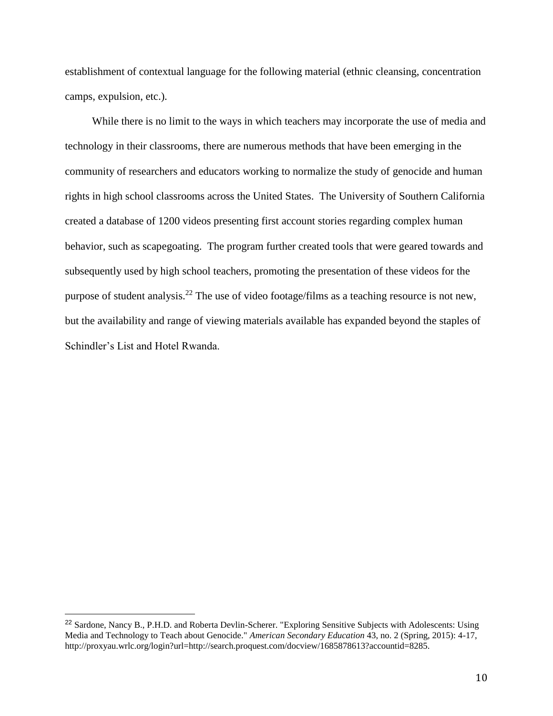establishment of contextual language for the following material (ethnic cleansing, concentration camps, expulsion, etc.).

 While there is no limit to the ways in which teachers may incorporate the use of media and technology in their classrooms, there are numerous methods that have been emerging in the community of researchers and educators working to normalize the study of genocide and human rights in high school classrooms across the United States. The University of Southern California created a database of 1200 videos presenting first account stories regarding complex human behavior, such as scapegoating. The program further created tools that were geared towards and subsequently used by high school teachers, promoting the presentation of these videos for the purpose of student analysis.<sup>22</sup> The use of video footage/films as a teaching resource is not new, but the availability and range of viewing materials available has expanded beyond the staples of Schindler's List and Hotel Rwanda.

<sup>&</sup>lt;sup>22</sup> Sardone, Nancy B., P.H.D. and Roberta Devlin-Scherer. "Exploring Sensitive Subjects with Adolescents: Using Media and Technology to Teach about Genocide." *American Secondary Education* 43, no. 2 (Spring, 2015): 4-17, http://proxyau.wrlc.org/login?url=http://search.proquest.com/docview/1685878613?accountid=8285.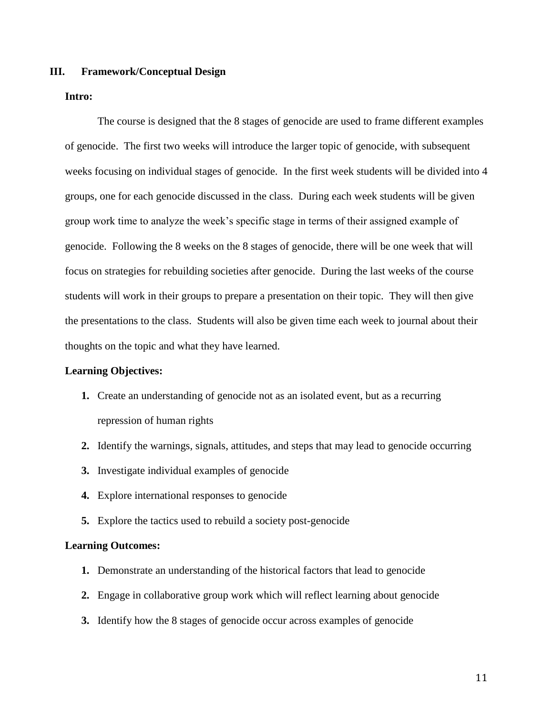#### **III. Framework/Conceptual Design**

#### **Intro:**

The course is designed that the 8 stages of genocide are used to frame different examples of genocide. The first two weeks will introduce the larger topic of genocide, with subsequent weeks focusing on individual stages of genocide. In the first week students will be divided into 4 groups, one for each genocide discussed in the class. During each week students will be given group work time to analyze the week's specific stage in terms of their assigned example of genocide. Following the 8 weeks on the 8 stages of genocide, there will be one week that will focus on strategies for rebuilding societies after genocide. During the last weeks of the course students will work in their groups to prepare a presentation on their topic. They will then give the presentations to the class. Students will also be given time each week to journal about their thoughts on the topic and what they have learned.

#### **Learning Objectives:**

- **1.** Create an understanding of genocide not as an isolated event, but as a recurring repression of human rights
- **2.** Identify the warnings, signals, attitudes, and steps that may lead to genocide occurring
- **3.** Investigate individual examples of genocide
- **4.** Explore international responses to genocide
- **5.** Explore the tactics used to rebuild a society post-genocide

#### **Learning Outcomes:**

- **1.** Demonstrate an understanding of the historical factors that lead to genocide
- **2.** Engage in collaborative group work which will reflect learning about genocide
- **3.** Identify how the 8 stages of genocide occur across examples of genocide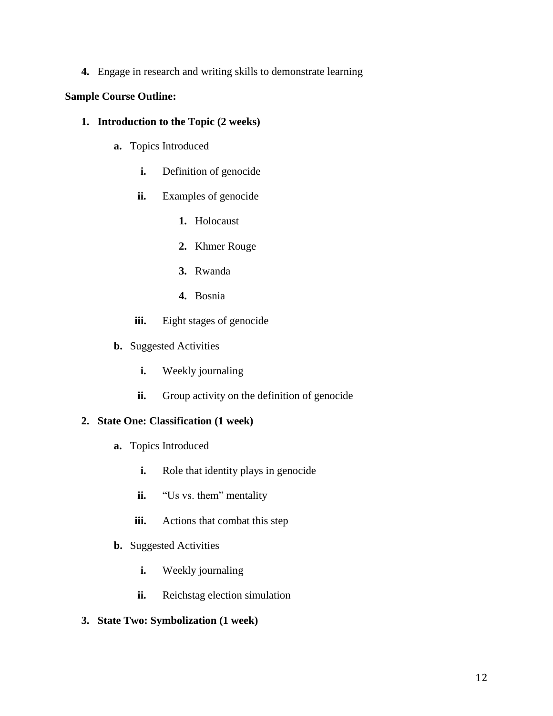**4.** Engage in research and writing skills to demonstrate learning

## **Sample Course Outline:**

- **1. Introduction to the Topic (2 weeks)**
	- **a.** Topics Introduced
		- **i.** Definition of genocide
		- **ii.** Examples of genocide
			- **1.** Holocaust
			- **2.** Khmer Rouge
			- **3.** Rwanda
			- **4.** Bosnia
		- **iii.** Eight stages of genocide
	- **b.** Suggested Activities
		- **i.** Weekly journaling
		- **ii.** Group activity on the definition of genocide

### **2. State One: Classification (1 week)**

- **a.** Topics Introduced
	- **i.** Role that identity plays in genocide
	- **ii.** "Us vs. them" mentality
	- **iii.** Actions that combat this step
- **b.** Suggested Activities
	- **i.** Weekly journaling
	- **ii.** Reichstag election simulation
- **3. State Two: Symbolization (1 week)**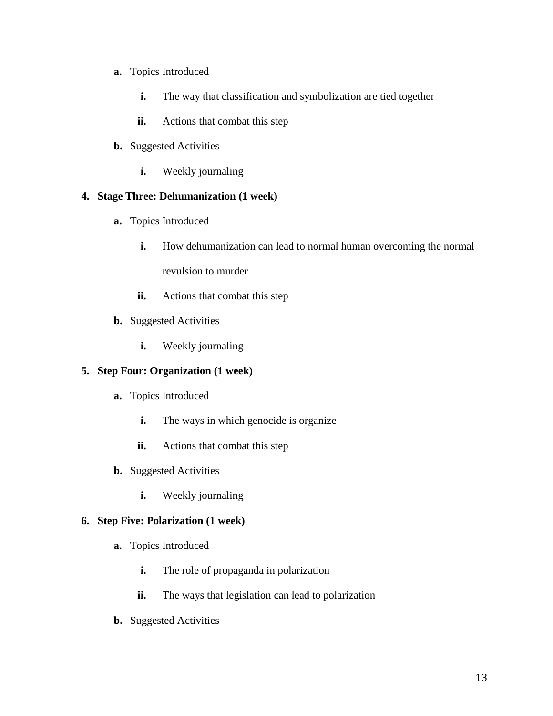- **a.** Topics Introduced
	- **i.** The way that classification and symbolization are tied together
	- **ii.** Actions that combat this step
- **b.** Suggested Activities
	- **i.** Weekly journaling

## **4. Stage Three: Dehumanization (1 week)**

- **a.** Topics Introduced
	- **i.** How dehumanization can lead to normal human overcoming the normal revulsion to murder
	- **ii.** Actions that combat this step
- **b.** Suggested Activities
	- **i.** Weekly journaling

## **5. Step Four: Organization (1 week)**

- **a.** Topics Introduced
	- **i.** The ways in which genocide is organize
	- **ii.** Actions that combat this step
- **b.** Suggested Activities
	- **i.** Weekly journaling

### **6. Step Five: Polarization (1 week)**

- **a.** Topics Introduced
	- **i.** The role of propaganda in polarization
	- **ii.** The ways that legislation can lead to polarization
- **b.** Suggested Activities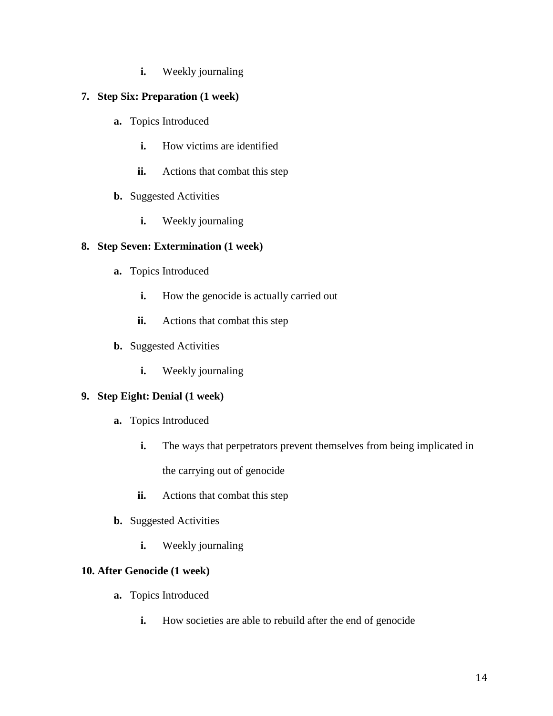**i.** Weekly journaling

## **7. Step Six: Preparation (1 week)**

- **a.** Topics Introduced
	- **i.** How victims are identified
	- **ii.** Actions that combat this step
- **b.** Suggested Activities
	- **i.** Weekly journaling

## **8. Step Seven: Extermination (1 week)**

- **a.** Topics Introduced
	- **i.** How the genocide is actually carried out
	- **ii.** Actions that combat this step
- **b.** Suggested Activities
	- **i.** Weekly journaling

### **9. Step Eight: Denial (1 week)**

- **a.** Topics Introduced
	- **i.** The ways that perpetrators prevent themselves from being implicated in the carrying out of genocide
	- **ii.** Actions that combat this step
- **b.** Suggested Activities
	- **i.** Weekly journaling

### **10. After Genocide (1 week)**

- **a.** Topics Introduced
	- **i.** How societies are able to rebuild after the end of genocide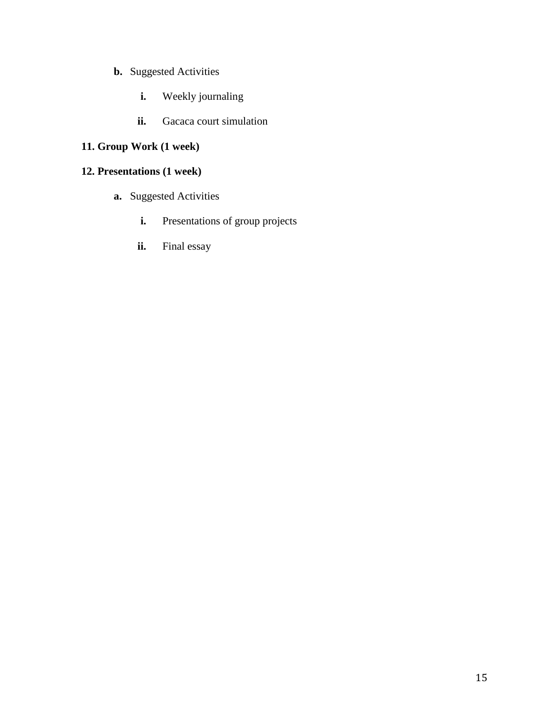- **b.** Suggested Activities
	- **i.** Weekly journaling
	- **ii.** Gacaca court simulation

# **11. Group Work (1 week)**

# **12. Presentations (1 week)**

- **a.** Suggested Activities
	- **i.** Presentations of group projects
	- **ii.** Final essay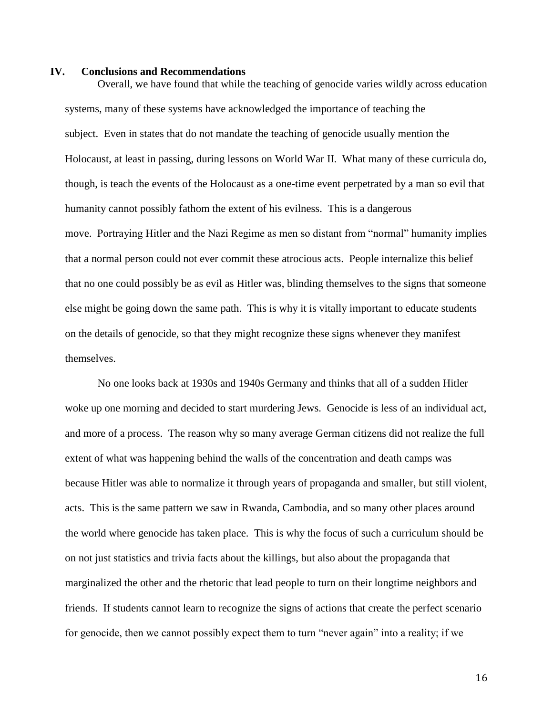#### **IV. Conclusions and Recommendations**

Overall, we have found that while the teaching of genocide varies wildly across education systems, many of these systems have acknowledged the importance of teaching the subject. Even in states that do not mandate the teaching of genocide usually mention the Holocaust, at least in passing, during lessons on World War II. What many of these curricula do, though, is teach the events of the Holocaust as a one-time event perpetrated by a man so evil that humanity cannot possibly fathom the extent of his evilness. This is a dangerous move. Portraying Hitler and the Nazi Regime as men so distant from "normal" humanity implies that a normal person could not ever commit these atrocious acts. People internalize this belief that no one could possibly be as evil as Hitler was, blinding themselves to the signs that someone else might be going down the same path. This is why it is vitally important to educate students on the details of genocide, so that they might recognize these signs whenever they manifest themselves.

No one looks back at 1930s and 1940s Germany and thinks that all of a sudden Hitler woke up one morning and decided to start murdering Jews. Genocide is less of an individual act, and more of a process. The reason why so many average German citizens did not realize the full extent of what was happening behind the walls of the concentration and death camps was because Hitler was able to normalize it through years of propaganda and smaller, but still violent, acts. This is the same pattern we saw in Rwanda, Cambodia, and so many other places around the world where genocide has taken place. This is why the focus of such a curriculum should be on not just statistics and trivia facts about the killings, but also about the propaganda that marginalized the other and the rhetoric that lead people to turn on their longtime neighbors and friends. If students cannot learn to recognize the signs of actions that create the perfect scenario for genocide, then we cannot possibly expect them to turn "never again" into a reality; if we

16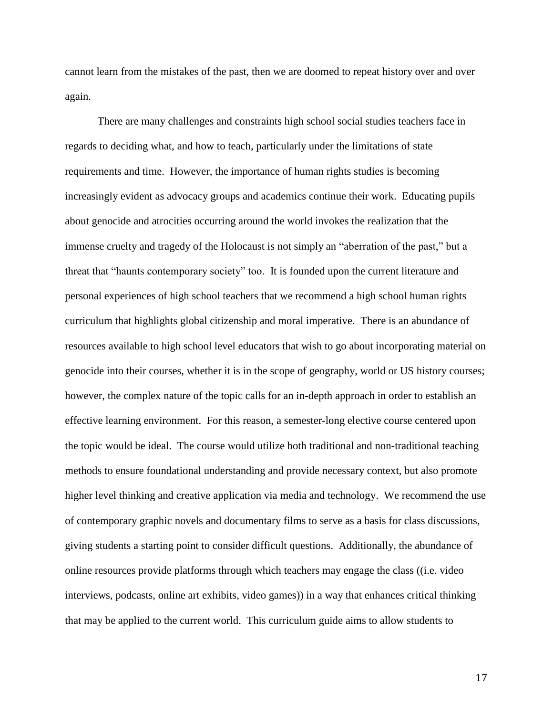cannot learn from the mistakes of the past, then we are doomed to repeat history over and over again.

There are many challenges and constraints high school social studies teachers face in regards to deciding what, and how to teach, particularly under the limitations of state requirements and time. However, the importance of human rights studies is becoming increasingly evident as advocacy groups and academics continue their work. Educating pupils about genocide and atrocities occurring around the world invokes the realization that the immense cruelty and tragedy of the Holocaust is not simply an "aberration of the past," but a threat that "haunts contemporary society" too. It is founded upon the current literature and personal experiences of high school teachers that we recommend a high school human rights curriculum that highlights global citizenship and moral imperative. There is an abundance of resources available to high school level educators that wish to go about incorporating material on genocide into their courses, whether it is in the scope of geography, world or US history courses; however, the complex nature of the topic calls for an in-depth approach in order to establish an effective learning environment. For this reason, a semester-long elective course centered upon the topic would be ideal. The course would utilize both traditional and non-traditional teaching methods to ensure foundational understanding and provide necessary context, but also promote higher level thinking and creative application via media and technology. We recommend the use of contemporary graphic novels and documentary films to serve as a basis for class discussions, giving students a starting point to consider difficult questions. Additionally, the abundance of online resources provide platforms through which teachers may engage the class ((i.e. video interviews, podcasts, online art exhibits, video games)) in a way that enhances critical thinking that may be applied to the current world. This curriculum guide aims to allow students to

17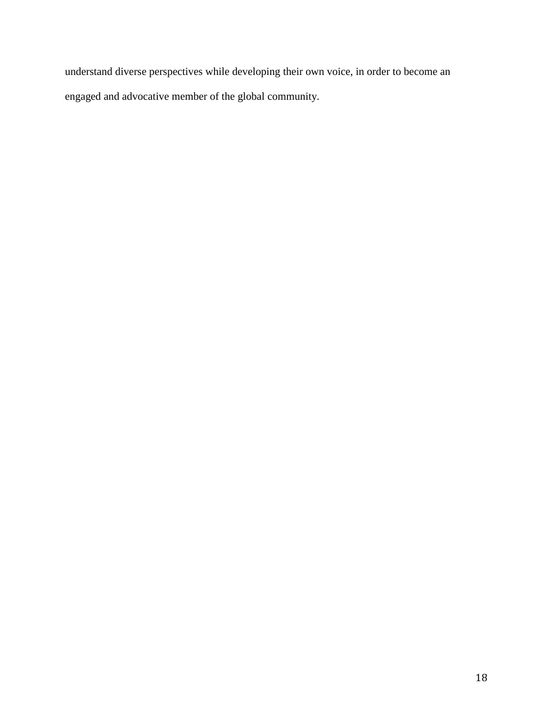understand diverse perspectives while developing their own voice, in order to become an engaged and advocative member of the global community.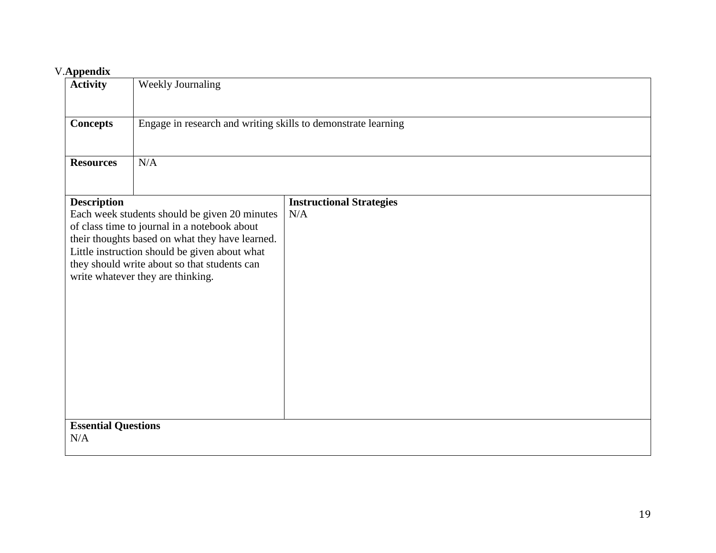## V.**Appendix**

| . друснита<br><b>Activity</b>     | Weekly Journaling                                                                                                                                                                                                                                                                      |                                        |  |  |
|-----------------------------------|----------------------------------------------------------------------------------------------------------------------------------------------------------------------------------------------------------------------------------------------------------------------------------------|----------------------------------------|--|--|
| <b>Concepts</b>                   | Engage in research and writing skills to demonstrate learning                                                                                                                                                                                                                          |                                        |  |  |
| <b>Resources</b>                  | N/A                                                                                                                                                                                                                                                                                    |                                        |  |  |
| <b>Description</b>                | Each week students should be given 20 minutes<br>of class time to journal in a notebook about<br>their thoughts based on what they have learned.<br>Little instruction should be given about what<br>they should write about so that students can<br>write whatever they are thinking. | <b>Instructional Strategies</b><br>N/A |  |  |
| <b>Essential Questions</b><br>N/A |                                                                                                                                                                                                                                                                                        |                                        |  |  |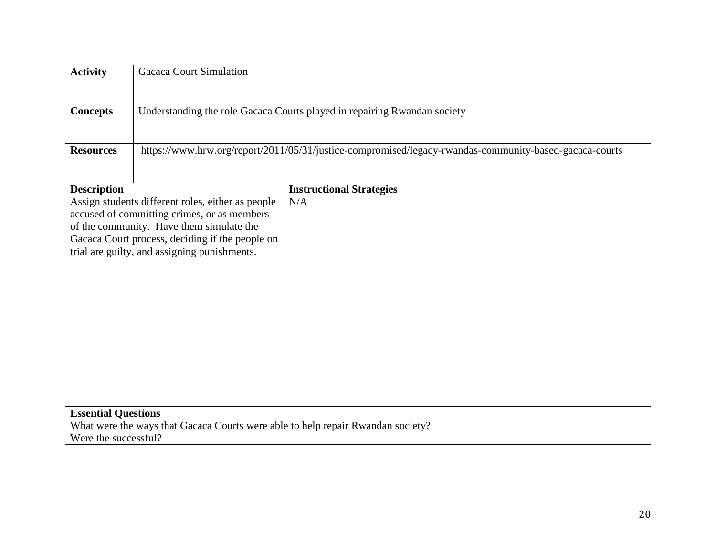| <b>Activity</b>            | <b>Gacaca Court Simulation</b>                                                                                                                                                                                                                  |                                        |  |  |
|----------------------------|-------------------------------------------------------------------------------------------------------------------------------------------------------------------------------------------------------------------------------------------------|----------------------------------------|--|--|
| <b>Concepts</b>            | Understanding the role Gacaca Courts played in repairing Rwandan society                                                                                                                                                                        |                                        |  |  |
| <b>Resources</b>           | https://www.hrw.org/report/2011/05/31/justice-compromised/legacy-rwandas-community-based-gacaca-courts                                                                                                                                          |                                        |  |  |
| <b>Description</b>         | Assign students different roles, either as people<br>accused of committing crimes, or as members<br>of the community. Have them simulate the<br>Gacaca Court process, deciding if the people on<br>trial are guilty, and assigning punishments. | <b>Instructional Strategies</b><br>N/A |  |  |
| <b>Essential Questions</b> | What were the ways that Gacaca Courts were able to help repair Rwandan society?                                                                                                                                                                 |                                        |  |  |
| Were the successful?       |                                                                                                                                                                                                                                                 |                                        |  |  |